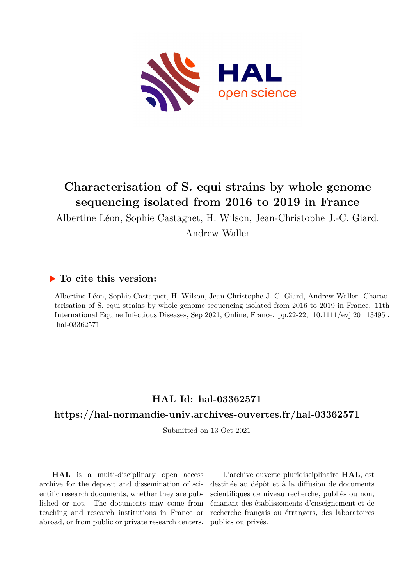

# **Characterisation of S. equi strains by whole genome sequencing isolated from 2016 to 2019 in France**

Albertine Léon, Sophie Castagnet, H. Wilson, Jean-Christophe J.-C. Giard, Andrew Waller

### **To cite this version:**

Albertine Léon, Sophie Castagnet, H. Wilson, Jean-Christophe J.-C. Giard, Andrew Waller. Characterisation of S. equi strains by whole genome sequencing isolated from 2016 to 2019 in France. 11th International Equine Infectious Diseases, Sep 2021, Online, France. pp.22-22, 10.1111/evj.20\_13495. hal-03362571

## **HAL Id: hal-03362571**

### **<https://hal-normandie-univ.archives-ouvertes.fr/hal-03362571>**

Submitted on 13 Oct 2021

**HAL** is a multi-disciplinary open access archive for the deposit and dissemination of scientific research documents, whether they are published or not. The documents may come from teaching and research institutions in France or abroad, or from public or private research centers.

L'archive ouverte pluridisciplinaire **HAL**, est destinée au dépôt et à la diffusion de documents scientifiques de niveau recherche, publiés ou non, émanant des établissements d'enseignement et de recherche français ou étrangers, des laboratoires publics ou privés.